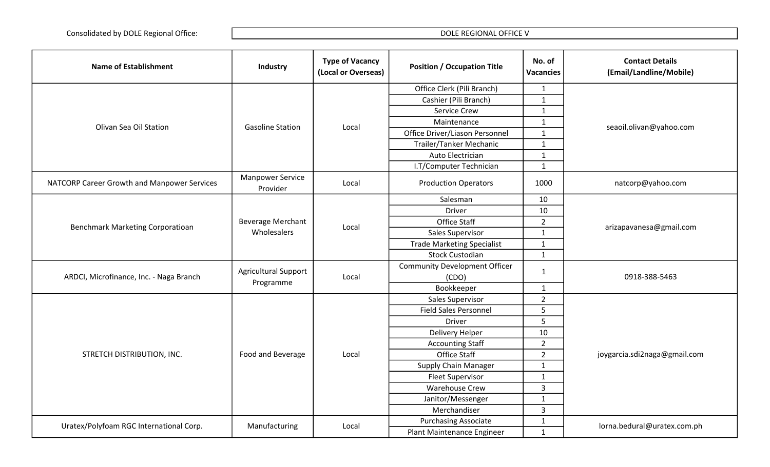| <b>Name of Establishment</b>                | Industry                            | <b>Type of Vacancy</b><br>(Local or Overseas) | <b>Position / Occupation Title</b>   | No. of<br><b>Vacancies</b> | <b>Contact Details</b><br>(Email/Landline/Mobile) |
|---------------------------------------------|-------------------------------------|-----------------------------------------------|--------------------------------------|----------------------------|---------------------------------------------------|
|                                             |                                     |                                               | Office Clerk (Pili Branch)           | $\mathbf{1}$               |                                                   |
|                                             |                                     |                                               | Cashier (Pili Branch)                | $\mathbf{1}$               |                                                   |
|                                             |                                     | Local                                         | Service Crew                         | $\mathbf{1}$               | seaoil.olivan@yahoo.com                           |
| Olivan Sea Oil Station                      | <b>Gasoline Station</b>             |                                               | Maintenance                          | $\mathbf{1}$               |                                                   |
|                                             |                                     |                                               | Office Driver/Liason Personnel       | $\mathbf{1}$               |                                                   |
|                                             |                                     |                                               | Trailer/Tanker Mechanic              | $\mathbf{1}$               |                                                   |
|                                             |                                     |                                               | Auto Electrician                     | $\mathbf{1}$               |                                                   |
|                                             |                                     |                                               | I.T/Computer Technician              | $\mathbf{1}$               |                                                   |
| NATCORP Career Growth and Manpower Services | <b>Manpower Service</b><br>Provider | Local                                         | <b>Production Operators</b>          | 1000                       | natcorp@yahoo.com                                 |
|                                             |                                     |                                               | Salesman                             | 10                         |                                                   |
|                                             |                                     |                                               | <b>Driver</b>                        | 10                         |                                                   |
| Benchmark Marketing Corporatioan            | <b>Beverage Merchant</b>            | Local                                         | <b>Office Staff</b>                  | $\overline{2}$             | arizapavanesa@gmail.com                           |
|                                             | Wholesalers                         |                                               | Sales Supervisor                     | $\mathbf{1}$               |                                                   |
|                                             |                                     |                                               | <b>Trade Marketing Specialist</b>    | $\mathbf{1}$               |                                                   |
|                                             |                                     |                                               | <b>Stock Custodian</b>               | $\mathbf{1}$               |                                                   |
|                                             | <b>Agricultural Support</b>         |                                               | <b>Community Development Officer</b> |                            |                                                   |
| ARDCI, Microfinance, Inc. - Naga Branch     | Programme                           | Local                                         | (CDO)                                | $\mathbf{1}$               | 0918-388-5463                                     |
|                                             |                                     |                                               | Bookkeeper                           | $\mathbf{1}$               |                                                   |
|                                             |                                     |                                               | Sales Supervisor                     | $\overline{2}$             |                                                   |
|                                             |                                     |                                               | <b>Field Sales Personnel</b>         | 5                          |                                                   |
|                                             |                                     |                                               | <b>Driver</b>                        | $5\phantom{.}$             |                                                   |
| STRETCH DISTRIBUTION, INC.                  |                                     |                                               | Delivery Helper                      | 10                         |                                                   |
|                                             |                                     | Local                                         | <b>Accounting Staff</b>              | $\overline{2}$             |                                                   |
|                                             | Food and Beverage                   |                                               | Office Staff                         | $\overline{2}$             | joygarcia.sdi2naga@gmail.com                      |
|                                             |                                     |                                               | <b>Supply Chain Manager</b>          | $\mathbf{1}$               |                                                   |
|                                             |                                     |                                               | <b>Fleet Supervisor</b>              | $\mathbf{1}$               |                                                   |
|                                             |                                     |                                               | <b>Warehouse Crew</b>                | $\overline{3}$             |                                                   |
|                                             |                                     |                                               | Janitor/Messenger                    | $\mathbf{1}$               |                                                   |
|                                             |                                     |                                               | Merchandiser                         | $\overline{3}$             |                                                   |
| Uratex/Polyfoam RGC International Corp.     | Manufacturing                       | Local                                         | <b>Purchasing Associate</b>          | $\mathbf{1}$               | lorna.bedural@uratex.com.ph                       |
|                                             |                                     |                                               | Plant Maintenance Engineer           | $\mathbf{1}$               |                                                   |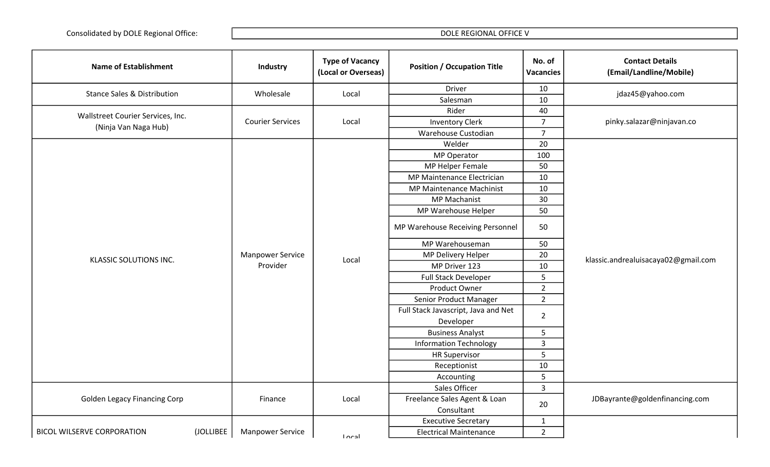| <b>Name of Establishment</b>                              | Industry                | <b>Type of Vacancy</b><br>(Local or Overseas) | <b>Position / Occupation Title</b>  | No. of<br><b>Vacancies</b>                                                                                                                | <b>Contact Details</b><br>(Email/Landline/Mobile)                      |
|-----------------------------------------------------------|-------------------------|-----------------------------------------------|-------------------------------------|-------------------------------------------------------------------------------------------------------------------------------------------|------------------------------------------------------------------------|
| <b>Stance Sales &amp; Distribution</b>                    | Wholesale               | Local                                         | Driver                              | 10                                                                                                                                        | jdaz45@yahoo.com                                                       |
|                                                           |                         |                                               | Salesman                            | 10                                                                                                                                        |                                                                        |
| Wallstreet Courier Services, Inc.<br>(Ninja Van Naga Hub) |                         | Local                                         | Rider                               | 40                                                                                                                                        | pinky.salazar@ninjavan.co                                              |
|                                                           | <b>Courier Services</b> |                                               | <b>Inventory Clerk</b>              | $\overline{7}$                                                                                                                            |                                                                        |
|                                                           |                         |                                               | Warehouse Custodian                 | $\overline{7}$                                                                                                                            |                                                                        |
|                                                           |                         |                                               | Welder                              | 20                                                                                                                                        |                                                                        |
|                                                           |                         |                                               | <b>MP Operator</b>                  | 100                                                                                                                                       |                                                                        |
|                                                           |                         |                                               | MP Helper Female                    | 50                                                                                                                                        |                                                                        |
|                                                           |                         |                                               | MP Maintenance Electrician          | 10                                                                                                                                        |                                                                        |
|                                                           |                         |                                               | MP Maintenance Machinist            | 10                                                                                                                                        |                                                                        |
|                                                           |                         |                                               | <b>MP Machanist</b>                 | 30                                                                                                                                        |                                                                        |
|                                                           |                         |                                               | MP Warehouse Helper                 | 50                                                                                                                                        |                                                                        |
| <b>KLASSIC SOLUTIONS INC.</b>                             |                         |                                               | MP Warehouse Receiving Personnel    | 50                                                                                                                                        |                                                                        |
|                                                           |                         |                                               | MP Warehouseman<br>50               |                                                                                                                                           |                                                                        |
|                                                           | <b>Manpower Service</b> |                                               | MP Delivery Helper                  |                                                                                                                                           | 20<br>klassic.andrealuisacaya02@gmail.com<br>10<br>5<br>$\overline{2}$ |
|                                                           | Provider                | Local                                         | MP Driver 123                       |                                                                                                                                           |                                                                        |
|                                                           |                         |                                               | Full Stack Developer                |                                                                                                                                           |                                                                        |
|                                                           |                         |                                               | Product Owner                       |                                                                                                                                           |                                                                        |
|                                                           |                         |                                               | Senior Product Manager              |                                                                                                                                           |                                                                        |
|                                                           |                         |                                               | Full Stack Javascript, Java and Net |                                                                                                                                           |                                                                        |
|                                                           |                         |                                               | Developer                           | $2^{\circ}$<br>$\overline{2}$<br>$\overline{5}$<br>$\overline{3}$<br>5<br>10<br>5<br>$\mathbf{3}$<br>JDBayrante@goldenfinancing.com<br>20 |                                                                        |
|                                                           |                         |                                               | <b>Business Analyst</b>             |                                                                                                                                           |                                                                        |
|                                                           |                         |                                               | <b>Information Technology</b>       |                                                                                                                                           |                                                                        |
|                                                           |                         |                                               | <b>HR Supervisor</b>                |                                                                                                                                           |                                                                        |
|                                                           |                         |                                               | Receptionist                        |                                                                                                                                           |                                                                        |
|                                                           |                         |                                               | Accounting                          |                                                                                                                                           |                                                                        |
|                                                           |                         |                                               | Sales Officer                       |                                                                                                                                           |                                                                        |
| <b>Golden Legacy Financing Corp</b>                       | Finance                 | Local                                         | Freelance Sales Agent & Loan        |                                                                                                                                           |                                                                        |
|                                                           |                         |                                               | Consultant                          |                                                                                                                                           |                                                                        |
|                                                           |                         |                                               | <b>Executive Secretary</b>          | $\mathbf{1}$                                                                                                                              |                                                                        |
| <b>BICOL WILSERVE CORPORATION</b><br>(JOLLIBEE            | <b>Manpower Service</b> |                                               | <b>Electrical Maintenance</b>       | $\overline{2}$                                                                                                                            |                                                                        |
|                                                           |                         | ادعم ا                                        |                                     |                                                                                                                                           |                                                                        |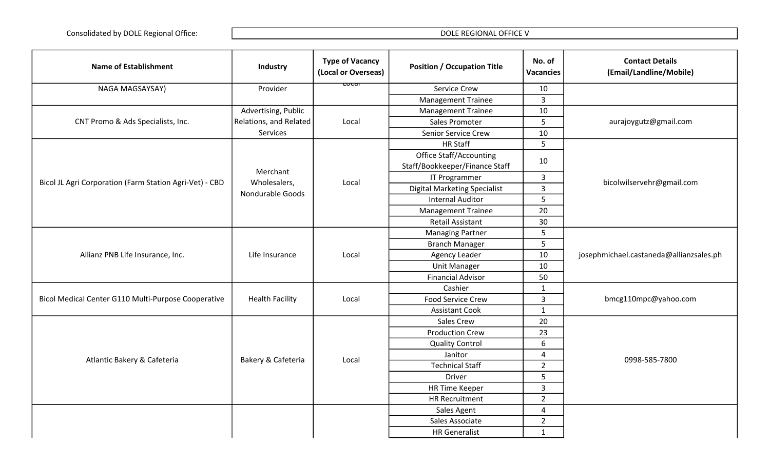| <b>Name of Establishment</b>                            | Industry               | <b>Type of Vacancy</b><br>(Local or Overseas) | <b>Position / Occupation Title</b>                               | No. of<br><b>Vacancies</b> | <b>Contact Details</b><br>(Email/Landline/Mobile) |
|---------------------------------------------------------|------------------------|-----------------------------------------------|------------------------------------------------------------------|----------------------------|---------------------------------------------------|
| NAGA MAGSAYSAY)                                         | Provider               | प्ण्टवा                                       | <b>Service Crew</b>                                              | 10                         |                                                   |
|                                                         |                        |                                               | <b>Management Trainee</b>                                        | 3                          |                                                   |
|                                                         | Advertising, Public    |                                               | <b>Management Trainee</b>                                        | 10                         |                                                   |
| CNT Promo & Ads Specialists, Inc.                       | Relations, and Related | Local                                         | Sales Promoter                                                   | 5                          | aurajoygutz@gmail.com                             |
|                                                         | <b>Services</b>        |                                               | Senior Service Crew                                              | 10                         |                                                   |
|                                                         |                        |                                               | <b>HR Staff</b>                                                  | 5                          |                                                   |
|                                                         | Merchant               |                                               | <b>Office Staff/Accounting</b><br>Staff/Bookkeeper/Finance Staff | 10                         |                                                   |
| Bicol JL Agri Corporation (Farm Station Agri-Vet) - CBD | Wholesalers,           | Local                                         | IT Programmer                                                    | $\overline{3}$             |                                                   |
|                                                         | Nondurable Goods       |                                               | <b>Digital Marketing Specialist</b>                              | $\mathbf{3}$               |                                                   |
|                                                         |                        |                                               | <b>Internal Auditor</b>                                          | 5                          |                                                   |
|                                                         |                        |                                               | <b>Management Trainee</b>                                        | 20                         |                                                   |
|                                                         |                        |                                               | <b>Retail Assistant</b>                                          | 30                         |                                                   |
|                                                         |                        |                                               | <b>Managing Partner</b>                                          | 5                          | josephmichael.castaneda@allianzsales.ph           |
|                                                         |                        |                                               | <b>Branch Manager</b>                                            | 5                          |                                                   |
| Allianz PNB Life Insurance, Inc.                        | Life Insurance         | Local                                         | Agency Leader                                                    | 10                         |                                                   |
|                                                         |                        |                                               | <b>Unit Manager</b>                                              | 10                         |                                                   |
|                                                         |                        |                                               | <b>Financial Advisor</b>                                         | 50                         |                                                   |
|                                                         | <b>Health Facility</b> | Local                                         | Cashier                                                          | $\mathbf{1}$               | bmcg110mpc@yahoo.com                              |
| Bicol Medical Center G110 Multi-Purpose Cooperative     |                        |                                               | <b>Food Service Crew</b>                                         | $\overline{3}$             |                                                   |
|                                                         |                        |                                               | <b>Assistant Cook</b>                                            | $\mathbf{1}$               |                                                   |
|                                                         |                        |                                               | Sales Crew                                                       | 20                         |                                                   |
|                                                         |                        |                                               | <b>Production Crew</b>                                           | 23                         |                                                   |
|                                                         |                        |                                               | <b>Quality Control</b>                                           | 6                          | bicolwilservehr@gmail.com<br>0998-585-7800        |
| Atlantic Bakery & Cafeteria                             | Bakery & Cafeteria     | Local                                         | Janitor                                                          | $\overline{4}$             |                                                   |
|                                                         |                        |                                               | <b>Technical Staff</b>                                           | $\overline{2}$             |                                                   |
|                                                         |                        |                                               | <b>Driver</b>                                                    | 5                          |                                                   |
|                                                         |                        |                                               | <b>HR Time Keeper</b>                                            | $\overline{3}$             |                                                   |
|                                                         |                        |                                               | <b>HR Recruitment</b>                                            | $\overline{2}$             |                                                   |
|                                                         |                        |                                               | Sales Agent                                                      | $\overline{4}$             |                                                   |
|                                                         |                        |                                               | Sales Associate                                                  | $\overline{2}$             |                                                   |
|                                                         |                        |                                               | <b>HR</b> Generalist                                             | $\mathbf{1}$               |                                                   |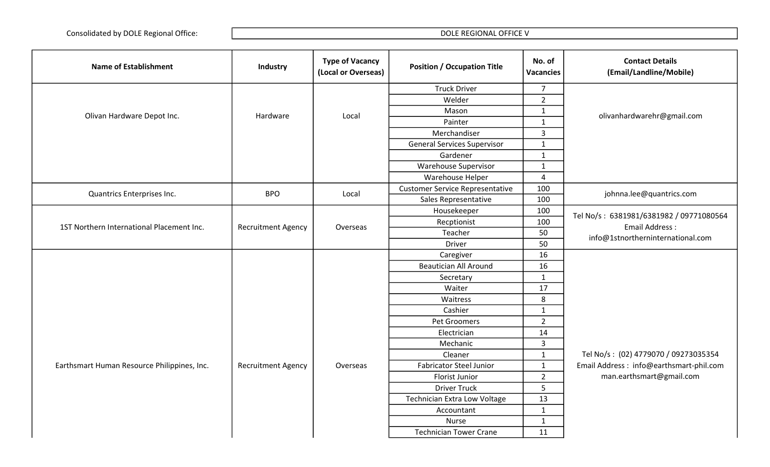| <b>Name of Establishment</b>                | Industry                  | <b>Type of Vacancy</b><br>(Local or Overseas) | <b>Position / Occupation Title</b>     | No. of<br><b>Vacancies</b> | <b>Contact Details</b><br>(Email/Landline/Mobile)                                                                                                                                                                                                                              |
|---------------------------------------------|---------------------------|-----------------------------------------------|----------------------------------------|----------------------------|--------------------------------------------------------------------------------------------------------------------------------------------------------------------------------------------------------------------------------------------------------------------------------|
|                                             |                           |                                               | <b>Truck Driver</b>                    | $\overline{7}$             |                                                                                                                                                                                                                                                                                |
|                                             |                           |                                               | Welder                                 | $\overline{2}$             |                                                                                                                                                                                                                                                                                |
| Olivan Hardware Depot Inc.                  | Hardware                  | Local                                         | Mason                                  | $\mathbf{1}$               | olivanhardwarehr@gmail.com<br>johnna.lee@quantrics.com<br>Tel No/s: 6381981/6381982 / 09771080564<br><b>Email Address:</b><br>info@1stnortherninternational.com<br>Tel No/s: (02) 4779070 / 09273035354<br>Email Address: info@earthsmart-phil.com<br>man.earthsmart@gmail.com |
|                                             |                           |                                               | Painter                                | $\mathbf{1}$               |                                                                                                                                                                                                                                                                                |
|                                             |                           |                                               | Merchandiser                           | $\mathbf{3}$               |                                                                                                                                                                                                                                                                                |
|                                             |                           |                                               | <b>General Services Supervisor</b>     | $\mathbf{1}$               |                                                                                                                                                                                                                                                                                |
|                                             |                           |                                               | Gardener                               | $\mathbf{1}$               |                                                                                                                                                                                                                                                                                |
|                                             |                           |                                               | Warehouse Supervisor                   | $\mathbf{1}$               |                                                                                                                                                                                                                                                                                |
|                                             |                           |                                               | Warehouse Helper                       | 4                          |                                                                                                                                                                                                                                                                                |
| Quantrics Enterprises Inc.                  | <b>BPO</b>                | Local                                         | <b>Customer Service Representative</b> | 100                        |                                                                                                                                                                                                                                                                                |
|                                             |                           |                                               | Sales Representative                   | 100                        |                                                                                                                                                                                                                                                                                |
|                                             |                           |                                               | Housekeeper                            | 100                        |                                                                                                                                                                                                                                                                                |
| 1ST Northern International Placement Inc.   | <b>Recruitment Agency</b> | Overseas                                      | Recptionist                            | 100                        |                                                                                                                                                                                                                                                                                |
|                                             |                           |                                               | Teacher                                | 50                         |                                                                                                                                                                                                                                                                                |
|                                             |                           |                                               | <b>Driver</b>                          | 50                         |                                                                                                                                                                                                                                                                                |
|                                             |                           |                                               | Caregiver                              | 16                         |                                                                                                                                                                                                                                                                                |
|                                             |                           |                                               | <b>Beautician All Around</b>           | 16                         |                                                                                                                                                                                                                                                                                |
|                                             |                           |                                               | Secretary                              | $\mathbf{1}$               |                                                                                                                                                                                                                                                                                |
|                                             |                           |                                               | Waiter                                 | 17                         |                                                                                                                                                                                                                                                                                |
|                                             |                           |                                               | Waitress                               | 8                          |                                                                                                                                                                                                                                                                                |
|                                             |                           |                                               | Cashier                                | $\mathbf{1}$               |                                                                                                                                                                                                                                                                                |
|                                             |                           |                                               | Pet Groomers                           | $\overline{2}$             |                                                                                                                                                                                                                                                                                |
|                                             |                           |                                               | Electrician                            | 14                         |                                                                                                                                                                                                                                                                                |
|                                             |                           |                                               | Mechanic                               | $\overline{3}$             |                                                                                                                                                                                                                                                                                |
|                                             |                           |                                               | Cleaner                                | $\mathbf{1}$               |                                                                                                                                                                                                                                                                                |
| Earthsmart Human Resource Philippines, Inc. | <b>Recruitment Agency</b> | Overseas                                      | <b>Fabricator Steel Junior</b>         | $\mathbf{1}$               |                                                                                                                                                                                                                                                                                |
|                                             |                           |                                               | <b>Florist Junior</b>                  | $\overline{2}$             |                                                                                                                                                                                                                                                                                |
|                                             |                           |                                               | <b>Driver Truck</b>                    | 5                          |                                                                                                                                                                                                                                                                                |
|                                             |                           |                                               | Technician Extra Low Voltage           | 13                         |                                                                                                                                                                                                                                                                                |
|                                             |                           |                                               | Accountant                             | $\mathbf{1}$               |                                                                                                                                                                                                                                                                                |
|                                             |                           |                                               | <b>Nurse</b>                           | $\mathbf 1$                |                                                                                                                                                                                                                                                                                |
|                                             |                           |                                               | <b>Technician Tower Crane</b>          | 11                         |                                                                                                                                                                                                                                                                                |